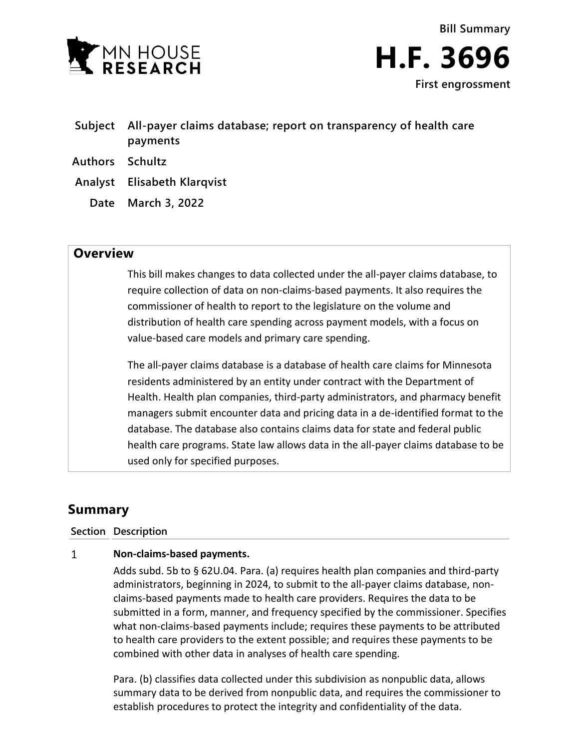



- **Subject All-payer claims database; report on transparency of health care payments**
- **Authors Schultz**
- **Analyst Elisabeth Klarqvist**
	- **Date March 3, 2022**

# **Overview**

This bill makes changes to data collected under the all-payer claims database, to require collection of data on non-claims-based payments. It also requires the commissioner of health to report to the legislature on the volume and distribution of health care spending across payment models, with a focus on value-based care models and primary care spending.

The all-payer claims database is a database of health care claims for Minnesota residents administered by an entity under contract with the Department of Health. Health plan companies, third-party administrators, and pharmacy benefit managers submit encounter data and pricing data in a de-identified format to the database. The database also contains claims data for state and federal public health care programs. State law allows data in the all-payer claims database to be used only for specified purposes.

# **Summary**

**Section Description**

## $\mathbf{1}$ **Non-claims-based payments.**

Adds subd. 5b to § 62U.04. Para. (a) requires health plan companies and third-party administrators, beginning in 2024, to submit to the all-payer claims database, nonclaims-based payments made to health care providers. Requires the data to be submitted in a form, manner, and frequency specified by the commissioner. Specifies what non-claims-based payments include; requires these payments to be attributed to health care providers to the extent possible; and requires these payments to be combined with other data in analyses of health care spending.

Para. (b) classifies data collected under this subdivision as nonpublic data, allows summary data to be derived from nonpublic data, and requires the commissioner to establish procedures to protect the integrity and confidentiality of the data.